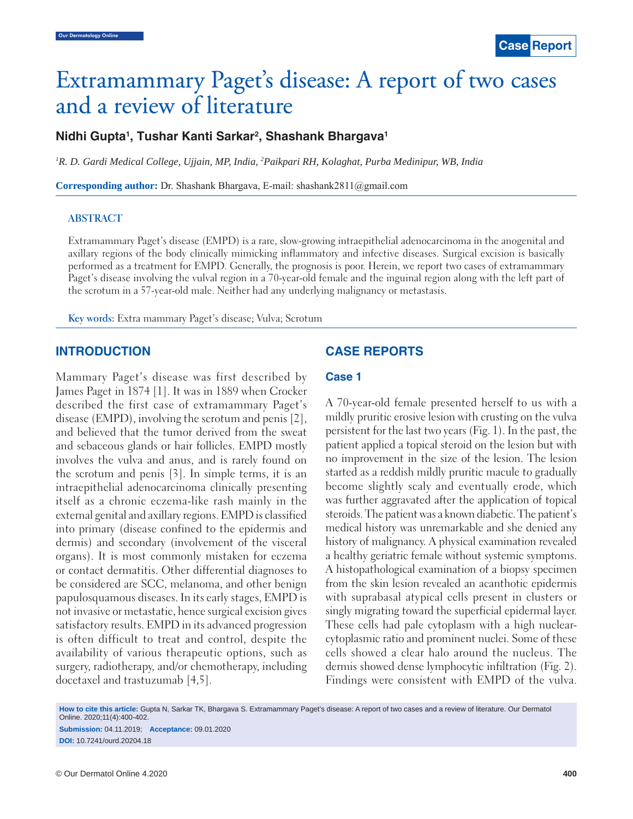# Extramammary Paget's disease: A report of two cases and a review of literature

# **Nidhi Gupta1 , Tushar Kanti Sarkar2 , Shashank Bhargava1**

*1 R. D. Gardi Medical College, Ujjain, MP, India, 2 Paikpari RH, Kolaghat, Purba Medinipur, WB, India*

**Corresponding author:** Dr. Shashank Bhargava, E-mail: shashank2811@gmail.com

#### **ABSTRACT**

Extramammary Paget's disease (EMPD) is a rare, slow-growing intraepithelial adenocarcinoma in the anogenital and axillary regions of the body clinically mimicking inflammatory and infective diseases. Surgical excision is basically performed as a treatment for EMPD. Generally, the prognosis is poor. Herein, we report two cases of extramammary Paget's disease involving the vulval region in a 70-year-old female and the inguinal region along with the left part of the scrotum in a 57-year-old male. Neither had any underlying malignancy or metastasis.

**Key words:** Extra mammary Paget's disease; Vulva; Scrotum

## **INTRODUCTION**

Mammary Paget's disease was first described by James Paget in 1874 [1]. It was in 1889 when Crocker described the first case of extramammary Paget's disease (EMPD), involving the scrotum and penis [2], and believed that the tumor derived from the sweat and sebaceous glands or hair follicles. EMPD mostly involves the vulva and anus, and is rarely found on the scrotum and penis [3]. In simple terms, it is an intraepithelial adenocarcinoma clinically presenting itself as a chronic eczema-like rash mainly in the external genital and axillary regions. EMPD is classified into primary (disease confined to the epidermis and dermis) and secondary (involvement of the visceral organs). It is most commonly mistaken for eczema or contact dermatitis. Other differential diagnoses to be considered are SCC, melanoma, and other benign papulosquamous diseases. In its early stages, EMPD is not invasive or metastatic, hence surgical excision gives satisfactory results. EMPD in its advanced progression is often difficult to treat and control, despite the availability of various therapeutic options, such as surgery, radiotherapy, and/or chemotherapy, including docetaxel and trastuzumab [4,5].

## **CASE REPORTS**

## **Case 1**

A 70-year-old female presented herself to us with a mildly pruritic erosive lesion with crusting on the vulva persistent for the last two years (Fig. 1). In the past, the patient applied a topical steroid on the lesion but with no improvement in the size of the lesion. The lesion started as a reddish mildly pruritic macule to gradually become slightly scaly and eventually erode, which was further aggravated after the application of topical steroids. The patient was a known diabetic. The patient's medical history was unremarkable and she denied any history of malignancy. A physical examination revealed a healthy geriatric female without systemic symptoms. A histopathological examination of a biopsy specimen from the skin lesion revealed an acanthotic epidermis with suprabasal atypical cells present in clusters or singly migrating toward the superficial epidermal layer. These cells had pale cytoplasm with a high nuclearcytoplasmic ratio and prominent nuclei. Some of these cells showed a clear halo around the nucleus. The dermis showed dense lymphocytic infiltration (Fig. 2). Findings were consistent with EMPD of the vulva.

**How to cite this article:** Gupta N, Sarkar TK, Bhargava S. Extramammary Paget's disease: A report of two cases and a review of literature. Our Dermatol Online. 2020;11(4):400-402. **Submission:** 04.11.2019; **Acceptance:** 09.01.2020 **DOI:** 10.7241/ourd.20204.18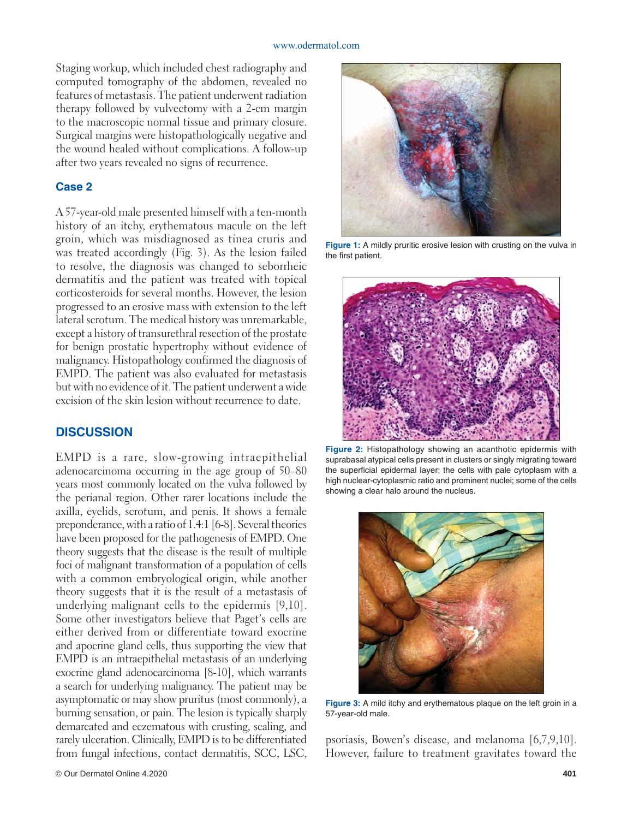#### www.odermatol.com

Staging workup, which included chest radiography and computed tomography of the abdomen, revealed no features of metastasis. The patient underwent radiation therapy followed by vulvectomy with a 2-cm margin to the macroscopic normal tissue and primary closure. Surgical margins were histopathologically negative and the wound healed without complications. A follow-up after two years revealed no signs of recurrence.

## **Case 2**

A 57-year-old male presented himself with a ten-month history of an itchy, erythematous macule on the left groin, which was misdiagnosed as tinea cruris and was treated accordingly (Fig. 3). As the lesion failed to resolve, the diagnosis was changed to seborrheic dermatitis and the patient was treated with topical corticosteroids for several months. However, the lesion progressed to an erosive mass with extension to the left lateral scrotum. The medical history was unremarkable, except a history of transurethral resection of the prostate for benign prostatic hypertrophy without evidence of malignancy. Histopathology confirmed the diagnosis of EMPD. The patient was also evaluated for metastasis but with no evidence of it. The patient underwent a wide excision of the skin lesion without recurrence to date.

# **DISCUSSION**

EMPD is a rare, slow-growing intraepithelial adenocarcinoma occurring in the age group of 50–80 years most commonly located on the vulva followed by the perianal region. Other rarer locations include the axilla, eyelids, scrotum, and penis. It shows a female preponderance, with a ratio of 1.4:1 [6-8]. Several theories have been proposed for the pathogenesis of EMPD. One theory suggests that the disease is the result of multiple foci of malignant transformation of a population of cells with a common embryological origin, while another theory suggests that it is the result of a metastasis of underlying malignant cells to the epidermis [9,10]. Some other investigators believe that Paget's cells are either derived from or differentiate toward exocrine and apocrine gland cells, thus supporting the view that EMPD is an intraepithelial metastasis of an underlying exocrine gland adenocarcinoma [8-10], which warrants a search for underlying malignancy. The patient may be asymptomatic or may show pruritus (most commonly), a burning sensation, or pain. The lesion is typically sharply demarcated and eczematous with crusting, scaling, and rarely ulceration. Clinically, EMPD is to be differentiated from fungal infections, contact dermatitis, SCC, LSC,



**Figure 1:** A mildly pruritic erosive lesion with crusting on the vulva in the first patient.



**Figure 2:** Histopathology showing an acanthotic epidermis with suprabasal atypical cells present in clusters or singly migrating toward the superficial epidermal layer; the cells with pale cytoplasm with a high nuclear-cytoplasmic ratio and prominent nuclei; some of the cells showing a clear halo around the nucleus.



**Figure 3:** A mild itchy and erythematous plaque on the left groin in a 57-year-old male.

psoriasis, Bowen's disease, and melanoma [6,7,9,10]. However, failure to treatment gravitates toward the